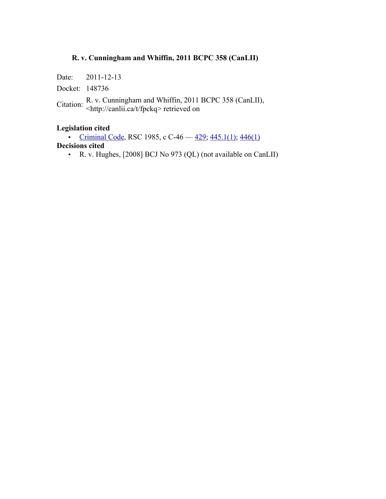# **R. v. Cunningham and Whiffin, 2011 BCPC 358 (CanLII)**

Date: 2011-12-13

Docket: 148736

Citation: R. v. Cunningham and Whiffin, 2011 BCPC 358 (CanLII), <br>  $\langle \frac{http://canlii.ca/t/fpckq>}$  retrieved on

## **Legislation cited**

• Criminal Code, RSC 1985, c C-46  $-$  429; 445.1(1); 446(1) **Decisions cited**

• R. v. Hughes, [2008] BCJ No 973 (QL) (not available on CanLII)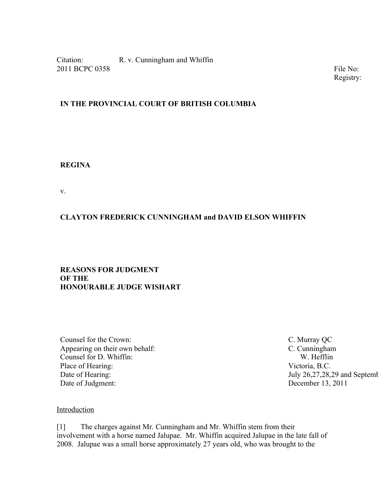Citation: R. v. Cunningham and Whiffin 2011 BCPC 0358 File No: 148736 File No: 148736 File No: 148736 File No: 148736 File No: 148736 File No: 148736

Registry:

## **IN THE PROVINCIAL COURT OF BRITISH COLUMBIA**

### **REGINA**

v.

# **CLAYTON FREDERICK CUNNINGHAM and DAVID ELSON WHIFFIN**

### **REASONS FOR JUDGMENT OF THE HONOURABLE JUDGE WISHART**

Counsel for the Crown: C. Murray QC Appearing on their own behalf: C. Cunningham Counsel for D. Whiffin: W. Hefflin Place of Hearing: Victoria, B.C. Date of Hearing: July 26,27,28,29 and September 28, 2011 Date of Judgment: December 13, 2011

#### Introduction

[1] The charges against Mr. Cunningham and Mr. Whiffin stem from their involvement with a horse named Jalupae. Mr. Whiffin acquired Jalupae in the late fall of 2008. Jalupae was a small horse approximately 27 years old, who was brought to the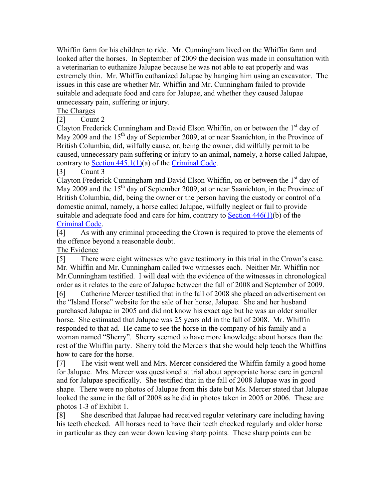Whiffin farm for his children to ride. Mr. Cunningham lived on the Whiffin farm and looked after the horses. In September of 2009 the decision was made in consultation with a veterinarian to euthanize Jalupae because he was not able to eat properly and was extremely thin. Mr. Whiffin euthanized Jalupae by hanging him using an excavator. The issues in this case are whether Mr. Whiffin and Mr. Cunningham failed to provide suitable and adequate food and care for Jalupae, and whether they caused Jalupae unnecessary pain, suffering or injury.

The Charges

[2] Count 2

Clayton Frederick Cunningham and David Elson Whiffin, on or between the  $1<sup>st</sup>$  day of May 2009 and the  $15<sup>th</sup>$  day of September 2009, at or near Saanichton, in the Province of British Columbia, did, wilfully cause, or, being the owner, did wilfully permit to be caused, unnecessary pain suffering or injury to an animal, namely, a horse called Jalupae, contrary to Section  $445.1(1)(a)$  of the Criminal Code.

[3] Count 3

Clayton Frederick Cunningham and David Elson Whiffin, on or between the 1<sup>st</sup> day of May 2009 and the  $15<sup>th</sup>$  day of September 2009, at or near Saanichton, in the Province of British Columbia, did, being the owner or the person having the custody or control of a domestic animal, namely, a horse called Jalupae, wilfully neglect or fail to provide suitable and adequate food and care for him, contrary to Section 446(1)(b) of the Criminal Code.

[4] As with any criminal proceeding the Crown is required to prove the elements of the offence beyond a reasonable doubt.

The Evidence

[5] There were eight witnesses who gave testimony in this trial in the Crown's case. Mr. Whiffin and Mr. Cunningham called two witnesses each. Neither Mr. Whiffin nor Mr.Cunningham testified. I will deal with the evidence of the witnesses in chronological order as it relates to the care of Jalupae between the fall of 2008 and September of 2009.

[6] Catherine Mercer testified that in the fall of 2008 she placed an advertisement on the "Island Horse" website for the sale of her horse, Jalupae. She and her husband purchased Jalupae in 2005 and did not know his exact age but he was an older smaller horse. She estimated that Jalupae was 25 years old in the fall of 2008. Mr. Whiffin responded to that ad. He came to see the horse in the company of his family and a woman named "Sherry". Sherry seemed to have more knowledge about horses than the rest of the Whiffin party. Sherry told the Mercers that she would help teach the Whiffins how to care for the horse.

[7] The visit went well and Mrs. Mercer considered the Whiffin family a good home for Jalupae. Mrs. Mercer was questioned at trial about appropriate horse care in general and for Jalupae specifically. She testified that in the fall of 2008 Jalupae was in good shape. There were no photos of Jalupae from this date but Ms. Mercer stated that Jalupae looked the same in the fall of 2008 as he did in photos taken in 2005 or 2006. These are photos 1-3 of Exhibit 1.

[8] She described that Jalupae had received regular veterinary care including having his teeth checked. All horses need to have their teeth checked regularly and older horse in particular as they can wear down leaving sharp points. These sharp points can be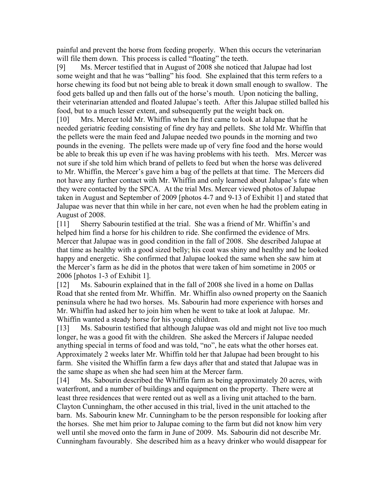painful and prevent the horse from feeding properly. When this occurs the veterinarian will file them down. This process is called "floating" the teeth.

[9] Ms. Mercer testified that in August of 2008 she noticed that Jalupae had lost some weight and that he was "balling" his food. She explained that this term refers to a horse chewing its food but not being able to break it down small enough to swallow. The food gets balled up and then falls out of the horse's mouth. Upon noticing the balling, their veterinarian attended and floated Jalupae's teeth. After this Jalupae stilled balled his food, but to a much lesser extent, and subsequently put the weight back on.

[10] Mrs. Mercer told Mr. Whiffin when he first came to look at Jalupae that he needed geriatric feeding consisting of fine dry hay and pellets. She told Mr. Whiffin that the pellets were the main feed and Jalupae needed two pounds in the morning and two pounds in the evening. The pellets were made up of very fine food and the horse would be able to break this up even if he was having problems with his teeth. Mrs. Mercer was not sure if she told him which brand of pellets to feed but when the horse was delivered to Mr. Whiffin, the Mercer's gave him a bag of the pellets at that time. The Mercers did not have any further contact with Mr. Whiffin and only learned about Jalupae's fate when they were contacted by the SPCA. At the trial Mrs. Mercer viewed photos of Jalupae taken in August and September of 2009 [photos 4-7 and 9-13 of Exhibit 1] and stated that Jalupae was never that thin while in her care, not even when he had the problem eating in August of 2008.

[11] Sherry Sabourin testified at the trial. She was a friend of Mr. Whiffin's and helped him find a horse for his children to ride. She confirmed the evidence of Mrs. Mercer that Jalupae was in good condition in the fall of 2008. She described Jalupae at that time as healthy with a good sized belly; his coat was shiny and healthy and he looked happy and energetic. She confirmed that Jalupae looked the same when she saw him at the Mercer's farm as he did in the photos that were taken of him sometime in 2005 or 2006 [photos 1-3 of Exhibit 1].

[12] Ms. Sabourin explained that in the fall of 2008 she lived in a home on Dallas Road that she rented from Mr. Whiffin. Mr. Whiffin also owned property on the Saanich peninsula where he had two horses. Ms. Sabourin had more experience with horses and Mr. Whiffin had asked her to join him when he went to take at look at Jalupae. Mr. Whiffin wanted a steady horse for his young children.

[13] Ms. Sabourin testified that although Jalupae was old and might not live too much longer, he was a good fit with the children. She asked the Mercers if Jalupae needed anything special in terms of food and was told, "no", he eats what the other horses eat. Approximately 2 weeks later Mr. Whiffin told her that Jalupae had been brought to his farm. She visited the Whiffin farm a few days after that and stated that Jalupae was in the same shape as when she had seen him at the Mercer farm.

[14] Ms. Sabourin described the Whiffin farm as being approximately 20 acres, with waterfront, and a number of buildings and equipment on the property. There were at least three residences that were rented out as well as a living unit attached to the barn. Clayton Cunningham, the other accused in this trial, lived in the unit attached to the barn. Ms. Sabourin knew Mr. Cunningham to be the person responsible for looking after the horses. She met him prior to Jalupae coming to the farm but did not know him very well until she moved onto the farm in June of 2009. Ms. Sabourin did not describe Mr. Cunningham favourably. She described him as a heavy drinker who would disappear for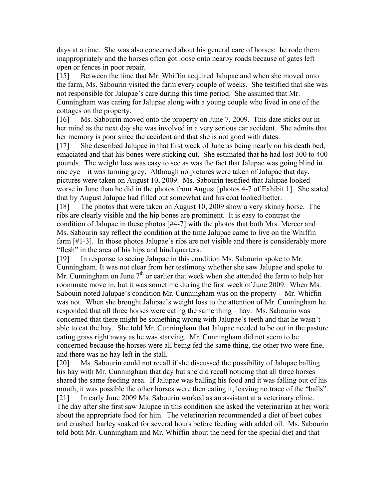days at a time. She was also concerned about his general care of horses: he rode them inappropriately and the horses often got loose onto nearby roads because of gates left open or fences in poor repair.

[15] Between the time that Mr. Whiffin acquired Jalupae and when she moved onto the farm, Ms. Sabourin visited the farm every couple of weeks. She testified that she was not responsible for Jalupae's care during this time period. She assumed that Mr. Cunningham was caring for Jalupae along with a young couple who lived in one of the cottages on the property.

[16] Ms. Sabourin moved onto the property on June 7, 2009. This date sticks out in her mind as the next day she was involved in a very serious car accident. She admits that her memory is poor since the accident and that she is not good with dates.

[17] She described Jalupae in that first week of June as being nearly on his death bed, emaciated and that his bones were sticking out. She estimated that he had lost 300 to 400 pounds. The weight loss was easy to see as was the fact that Jalupae was going blind in one eye – it was turning grey. Although no pictures were taken of Jalupae that day, pictures were taken on August 10, 2009. Ms. Sabourin testified that Jalupae looked worse in June than he did in the photos from August [photos 4-7 of Exhibit 1]. She stated that by August Jalupae had filled out somewhat and his coat looked better.

[18] The photos that were taken on August 10, 2009 show a very skinny horse. The ribs are clearly visible and the hip bones are prominent. It is easy to contrast the condition of Jalupae in these photos [#4-7] with the photos that both Mrs. Mercer and Ms. Sabourin say reflect the condition at the time Jalupae came to live on the Whiffin farm [#1-3]. In those photos Jalupae's ribs are not visible and there is considerably more "flesh" in the area of his hips and hind quarters.

[19] In response to seeing Jalupae in this condition Ms. Sabourin spoke to Mr. Cunningham. It was not clear from her testimony whether she saw Jalupae and spoke to Mr. Cunningham on June  $7<sup>th</sup>$  or earlier that week when she attended the farm to help her roommate move in, but it was sometime during the first week of June 2009. When Ms. Sabouin noted Jalupae's condition Mr. Cunningham was on the property - Mr. Whiffin was not. When she brought Jalupae's weight loss to the attention of Mr. Cunningham he responded that all three horses were eating the same thing – hay. Ms. Sabourin was concerned that there might be something wrong with Jalupae's teeth and that he wasn't able to eat the hay. She told Mr. Cunningham that Jalupae needed to be out in the pasture eating grass right away as he was starving. Mr. Cunningham did not seem to be concerned because the horses were all being fed the same thing, the other two were fine, and there was no hay left in the stall.

[20] Ms. Sabourin could not recall if she discussed the possibility of Jalupae balling his hay with Mr. Cunningham that day but she did recall noticing that all three horses shared the same feeding area. If Jalupae was balling his food and it was falling out of his mouth, it was possible the other horses were then eating it, leaving no trace of the "balls". [21] In early June 2009 Ms. Sabourin worked as an assistant at a veterinary clinic. The day after she first saw Jalupae in this condition she asked the veterinarian at her work about the appropriate food for him. The veterinarian recommended a diet of beet cubes and crushed barley soaked for several hours before feeding with added oil. Ms. Sabourin told both Mr. Cunningham and Mr. Whiffin about the need for the special diet and that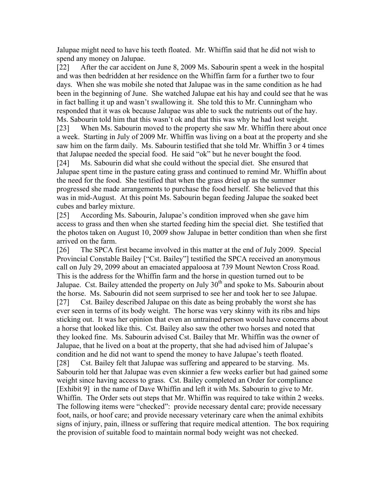Jalupae might need to have his teeth floated. Mr. Whiffin said that he did not wish to spend any money on Jalupae.

[22] After the car accident on June 8, 2009 Ms. Sabourin spent a week in the hospital and was then bedridden at her residence on the Whiffin farm for a further two to four days. When she was mobile she noted that Jalupae was in the same condition as he had been in the beginning of June. She watched Jalupae eat his hay and could see that he was in fact balling it up and wasn't swallowing it. She told this to Mr. Cunningham who responded that it was ok because Jalupae was able to suck the nutrients out of the hay. Ms. Sabourin told him that this wasn't ok and that this was why he had lost weight.

[23] When Ms. Sabourin moved to the property she saw Mr. Whiffin there about once a week. Starting in July of 2009 Mr. Whiffin was living on a boat at the property and she saw him on the farm daily. Ms. Sabourin testified that she told Mr. Whiffin 3 or 4 times that Jalupae needed the special food. He said "ok" but he never bought the food.

[24] Ms. Sabourin did what she could without the special diet. She ensured that Jalupae spent time in the pasture eating grass and continued to remind Mr. Whiffin about the need for the food. She testified that when the grass dried up as the summer progressed she made arrangements to purchase the food herself. She believed that this was in mid-August. At this point Ms. Sabourin began feeding Jalupae the soaked beet cubes and barley mixture.

[25] According Ms. Sabourin, Jalupae's condition improved when she gave him access to grass and then when she started feeding him the special diet. She testified that the photos taken on August 10, 2009 show Jalupae in better condition than when she first arrived on the farm.

[26] The SPCA first became involved in this matter at the end of July 2009. Special Provincial Constable Bailey ["Cst. Bailey"] testified the SPCA received an anonymous call on July 29, 2099 about an emaciated appaloosa at 739 Mount Newton Cross Road. This is the address for the Whiffin farm and the horse in question turned out to be Jalupae. Cst. Bailey attended the property on July  $30<sup>th</sup>$  and spoke to Ms. Sabourin about the horse. Ms. Sabourin did not seem surprised to see her and took her to see Jalupae. [27] Cst. Bailey described Jalupae on this date as being probably the worst she has ever seen in terms of its body weight. The horse was very skinny with its ribs and hips sticking out. It was her opinion that even an untrained person would have concerns about a horse that looked like this. Cst. Bailey also saw the other two horses and noted that they looked fine. Ms. Sabourin advised Cst. Bailey that Mr. Whiffin was the owner of Jalupae, that he lived on a boat at the property, that she had advised him of Jalupae's condition and he did not want to spend the money to have Jalupae's teeth floated. [28] Cst. Bailey felt that Jalupae was suffering and appeared to be starving. Ms. Sabourin told her that Jalupae was even skinnier a few weeks earlier but had gained some weight since having access to grass. Cst. Bailey completed an Order for compliance [Exhibit 9] in the name of Dave Whiffin and left it with Ms. Sabourin to give to Mr. Whiffin. The Order sets out steps that Mr. Whiffin was required to take within 2 weeks. The following items were "checked": provide necessary dental care; provide necessary foot, nails, or hoof care; and provide necessary veterinary care when the animal exhibits signs of injury, pain, illness or suffering that require medical attention. The box requiring the provision of suitable food to maintain normal body weight was not checked.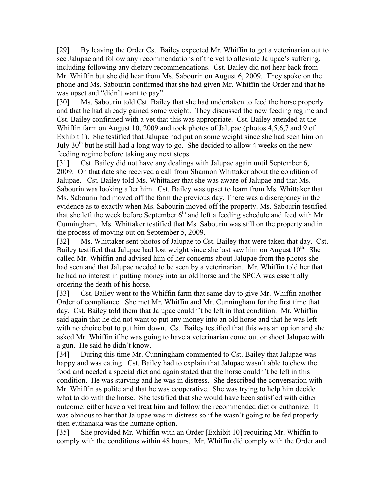[29] By leaving the Order Cst. Bailey expected Mr. Whiffin to get a veterinarian out to see Jalupae and follow any recommendations of the vet to alleviate Jalupae's suffering, including following any dietary recommendations. Cst. Bailey did not hear back from Mr. Whiffin but she did hear from Ms. Sabourin on August 6, 2009. They spoke on the phone and Ms. Sabourin confirmed that she had given Mr. Whiffin the Order and that he was upset and "didn't want to pay".

[30] Ms. Sabourin told Cst. Bailey that she had undertaken to feed the horse properly and that he had already gained some weight. They discussed the new feeding regime and Cst. Bailey confirmed with a vet that this was appropriate. Cst. Bailey attended at the Whiffin farm on August 10, 2009 and took photos of Jalupae (photos 4,5,6,7 and 9 of Exhibit 1). She testified that Jalupae had put on some weight since she had seen him on July  $30<sup>th</sup>$  but he still had a long way to go. She decided to allow 4 weeks on the new feeding regime before taking any next steps.

[31] Cst. Bailey did not have any dealings with Jalupae again until September 6, 2009. On that date she received a call from Shannon Whittaker about the condition of Jalupae. Cst. Bailey told Ms. Whittaker that she was aware of Jalupae and that Ms. Sabourin was looking after him. Cst. Bailey was upset to learn from Ms. Whittaker that Ms. Sabourin had moved off the farm the previous day. There was a discrepancy in the evidence as to exactly when Ms. Sabourin moved off the property. Ms. Sabourin testified that she left the week before September  $6<sup>th</sup>$  and left a feeding schedule and feed with Mr. Cunningham. Ms. Whittaker testified that Ms. Sabourin was still on the property and in the process of moving out on September 5, 2009.

[32] Ms. Whittaker sent photos of Jalupae to Cst. Bailey that were taken that day. Cst. Bailey testified that Jalupae had lost weight since she last saw him on August  $10^{th}$ . She called Mr. Whiffin and advised him of her concerns about Jalupae from the photos she had seen and that Jalupae needed to be seen by a veterinarian. Mr. Whiffin told her that he had no interest in putting money into an old horse and the SPCA was essentially ordering the death of his horse.

[33] Cst. Bailey went to the Whiffin farm that same day to give Mr. Whiffin another Order of compliance. She met Mr. Whiffin and Mr. Cunningham for the first time that day. Cst. Bailey told them that Jalupae couldn't be left in that condition. Mr. Whiffin said again that he did not want to put any money into an old horse and that he was left with no choice but to put him down. Cst. Bailey testified that this was an option and she asked Mr. Whiffin if he was going to have a veterinarian come out or shoot Jalupae with a gun. He said he didn't know.

[34] During this time Mr. Cunningham commented to Cst. Bailey that Jalupae was happy and was eating. Cst. Bailey had to explain that Jalupae wasn't able to chew the food and needed a special diet and again stated that the horse couldn't be left in this condition. He was starving and he was in distress. She described the conversation with Mr. Whiffin as polite and that he was cooperative. She was trying to help him decide what to do with the horse. She testified that she would have been satisfied with either outcome: either have a vet treat him and follow the recommended diet or euthanize. It was obvious to her that Jalupae was in distress so if he wasn't going to be fed properly then euthanasia was the humane option.

[35] She provided Mr. Whiffin with an Order [Exhibit 10] requiring Mr. Whiffin to comply with the conditions within 48 hours. Mr. Whiffin did comply with the Order and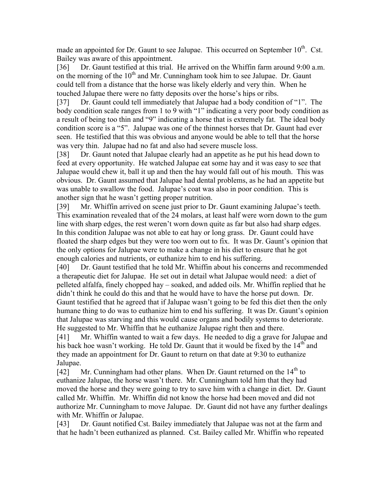made an appointed for Dr. Gaunt to see Jalupae. This occurred on September 10<sup>th</sup>. Cst. Bailey was aware of this appointment.

[36] Dr. Gaunt testified at this trial. He arrived on the Whiffin farm around 9:00 a.m. on the morning of the  $10<sup>th</sup>$  and Mr. Cunningham took him to see Jalupae. Dr. Gaunt could tell from a distance that the horse was likely elderly and very thin. When he touched Jalupae there were no fatty deposits over the horse's hips or ribs.

[37] Dr. Gaunt could tell immediately that Jalupae had a body condition of "1". The body condition scale ranges from 1 to 9 with "1" indicating a very poor body condition as a result of being too thin and "9" indicating a horse that is extremely fat. The ideal body condition score is a "5". Jalupae was one of the thinnest horses that Dr. Gaunt had ever seen. He testified that this was obvious and anyone would be able to tell that the horse was very thin. Jalupae had no fat and also had severe muscle loss.

[38] Dr. Gaunt noted that Jalupae clearly had an appetite as he put his head down to feed at every opportunity. He watched Jalupae eat some hay and it was easy to see that Jalupae would chew it, ball it up and then the hay would fall out of his mouth. This was obvious. Dr. Gaunt assumed that Jalupae had dental problems, as he had an appetite but was unable to swallow the food. Jalupae's coat was also in poor condition. This is another sign that he wasn't getting proper nutrition.

[39] Mr. Whiffin arrived on scene just prior to Dr. Gaunt examining Jalupae's teeth. This examination revealed that of the 24 molars, at least half were worn down to the gum line with sharp edges, the rest weren't worn down quite as far but also had sharp edges. In this condition Jalupae was not able to eat hay or long grass. Dr. Gaunt could have floated the sharp edges but they were too worn out to fix. It was Dr. Gaunt's opinion that the only options for Jalupae were to make a change in his diet to ensure that he got enough calories and nutrients, or euthanize him to end his suffering.

[40] Dr. Gaunt testified that he told Mr. Whiffin about his concerns and recommended a therapeutic diet for Jalupae. He set out in detail what Jalupae would need: a diet of pelleted alfalfa, finely chopped hay – soaked, and added oils. Mr. Whiffin replied that he didn't think he could do this and that he would have to have the horse put down. Dr. Gaunt testified that he agreed that if Jalupae wasn't going to be fed this diet then the only humane thing to do was to euthanize him to end his suffering. It was Dr. Gaunt's opinion that Jalupae was starving and this would cause organs and bodily systems to deteriorate. He suggested to Mr. Whiffin that he euthanize Jalupae right then and there.

[41] Mr. Whiffin wanted to wait a few days. He needed to dig a grave for Jalupae and his back hoe wasn't working. He told Dr. Gaunt that it would be fixed by the  $14<sup>th</sup>$  and they made an appointment for Dr. Gaunt to return on that date at 9:30 to euthanize Jalupae.

[42] Mr. Cunningham had other plans. When Dr. Gaunt returned on the  $14<sup>th</sup>$  to euthanize Jalupae, the horse wasn't there. Mr. Cunningham told him that they had moved the horse and they were going to try to save him with a change in diet. Dr. Gaunt called Mr. Whiffin. Mr. Whiffin did not know the horse had been moved and did not authorize Mr. Cunningham to move Jalupae. Dr. Gaunt did not have any further dealings with Mr. Whiffin or Jalupae.

[43] Dr. Gaunt notified Cst. Bailey immediately that Jalupae was not at the farm and that he hadn't been euthanized as planned. Cst. Bailey called Mr. Whiffin who repeated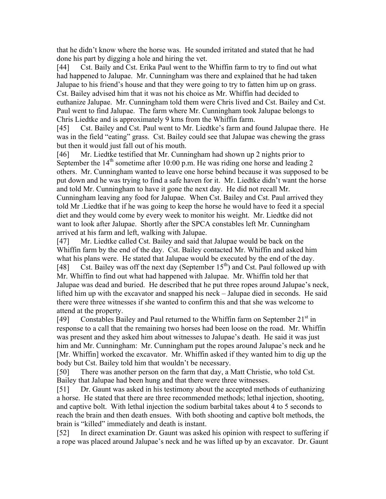that he didn't know where the horse was. He sounded irritated and stated that he had done his part by digging a hole and hiring the vet.

[44] Cst. Baily and Cst. Erika Paul went to the Whiffin farm to try to find out what had happened to Jalupae. Mr. Cunningham was there and explained that he had taken Jalupae to his friend's house and that they were going to try to fatten him up on grass. Cst. Bailey advised him that it was not his choice as Mr. Whiffin had decided to euthanize Jalupae. Mr. Cunningham told them were Chris lived and Cst. Bailey and Cst. Paul went to find Jalupae. The farm where Mr. Cunningham took Jalupae belongs to Chris Liedtke and is approximately 9 kms from the Whiffin farm.

[45] Cst. Bailey and Cst. Paul went to Mr. Liedtke's farm and found Jalupae there. He was in the field "eating" grass. Cst. Bailey could see that Jalupae was chewing the grass but then it would just fall out of his mouth.

[46] Mr. Liedtke testified that Mr. Cunningham had shown up 2 nights prior to September the  $14<sup>th</sup>$  sometime after 10:00 p.m. He was riding one horse and leading 2 others. Mr. Cunningham wanted to leave one horse behind because it was supposed to be put down and he was trying to find a safe haven for it. Mr. Liedtke didn't want the horse and told Mr. Cunningham to have it gone the next day. He did not recall Mr. Cunningham leaving any food for Jalupae. When Cst. Bailey and Cst. Paul arrived they told Mr .Liedtke that if he was going to keep the horse he would have to feed it a special diet and they would come by every week to monitor his weight. Mr. Liedtke did not want to look after Jalupae. Shortly after the SPCA constables left Mr. Cunningham arrived at his farm and left, walking with Jalupae.

[47] Mr. Liedtke called Cst. Bailey and said that Jalupae would be back on the Whiffin farm by the end of the day. Cst. Bailey contacted Mr. Whiffin and asked him what his plans were. He stated that Jalupae would be executed by the end of the day. [48] Cst. Bailey was off the next day (September  $15<sup>th</sup>$ ) and Cst. Paul followed up with Mr. Whiffin to find out what had happened with Jalupae. Mr. Whiffin told her that Jalupae was dead and buried. He described that he put three ropes around Jalupae's neck, lifted him up with the excavator and snapped his neck – Jalupae died in seconds. He said there were three witnesses if she wanted to confirm this and that she was welcome to attend at the property.

[49] Constables Bailey and Paul returned to the Whiffin farm on September  $21<sup>st</sup>$  in response to a call that the remaining two horses had been loose on the road. Mr. Whiffin was present and they asked him about witnesses to Jalupae's death. He said it was just him and Mr. Cunningham: Mr. Cunningham put the ropes around Jalupae's neck and he [Mr. Whiffin] worked the excavator. Mr. Whiffin asked if they wanted him to dig up the body but Cst. Bailey told him that wouldn't be necessary.

[50] There was another person on the farm that day, a Matt Christie, who told Cst. Bailey that Jalupae had been hung and that there were three witnesses.

[51] Dr. Gaunt was asked in his testimony about the accepted methods of euthanizing a horse. He stated that there are three recommended methods; lethal injection, shooting, and captive bolt. With lethal injection the sodium barbital takes about 4 to 5 seconds to reach the brain and then death ensues. With both shooting and captive bolt methods, the brain is "killed" immediately and death is instant.

[52] In direct examination Dr. Gaunt was asked his opinion with respect to suffering if a rope was placed around Jalupae's neck and he was lifted up by an excavator. Dr. Gaunt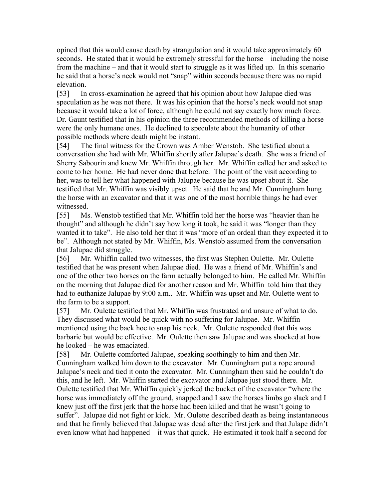opined that this would cause death by strangulation and it would take approximately 60 seconds. He stated that it would be extremely stressful for the horse – including the noise from the machine – and that it would start to struggle as it was lifted up. In this scenario he said that a horse's neck would not "snap" within seconds because there was no rapid elevation.

[53] In cross-examination he agreed that his opinion about how Jalupae died was speculation as he was not there. It was his opinion that the horse's neck would not snap because it would take a lot of force, although he could not say exactly how much force. Dr. Gaunt testified that in his opinion the three recommended methods of killing a horse were the only humane ones. He declined to speculate about the humanity of other possible methods where death might be instant.

[54] The final witness for the Crown was Amber Wenstob. She testified about a conversation she had with Mr. Whiffin shortly after Jalupae's death. She was a friend of Sherry Sabourin and knew Mr. Whiffin through her. Mr. Whiffin called her and asked to come to her home. He had never done that before. The point of the visit according to her, was to tell her what happened with Jalupae because he was upset about it. She testified that Mr. Whiffin was visibly upset. He said that he and Mr. Cunningham hung the horse with an excavator and that it was one of the most horrible things he had ever witnessed.

[55] Ms. Wenstob testified that Mr. Whiffin told her the horse was "heavier than he thought" and although he didn't say how long it took, he said it was "longer than they wanted it to take". He also told her that it was "more of an ordeal than they expected it to be". Although not stated by Mr. Whiffin, Ms. Wenstob assumed from the conversation that Jalupae did struggle.

[56] Mr. Whiffin called two witnesses, the first was Stephen Oulette. Mr. Oulette testified that he was present when Jalupae died. He was a friend of Mr. Whiffin's and one of the other two horses on the farm actually belonged to him. He called Mr. Whiffin on the morning that Jalupae died for another reason and Mr. Whiffin told him that they had to euthanize Jalupae by 9:00 a.m.. Mr. Whiffin was upset and Mr. Oulette went to the farm to be a support.

[57] Mr. Oulette testified that Mr. Whiffin was frustrated and unsure of what to do. They discussed what would be quick with no suffering for Jalupae. Mr. Whiffin mentioned using the back hoe to snap his neck. Mr. Oulette responded that this was barbaric but would be effective. Mr. Oulette then saw Jalupae and was shocked at how he looked – he was emaciated.

[58] Mr. Oulette comforted Jalupae, speaking soothingly to him and then Mr. Cunningham walked him down to the excavator. Mr. Cunningham put a rope around Jalupae's neck and tied it onto the excavator. Mr. Cunningham then said he couldn't do this, and he left. Mr. Whiffin started the excavator and Jalupae just stood there. Mr. Oulette testified that Mr. Whiffin quickly jerked the bucket of the excavator "where the horse was immediately off the ground, snapped and I saw the horses limbs go slack and I knew just off the first jerk that the horse had been killed and that he wasn't going to suffer". Jalupae did not fight or kick. Mr. Oulette described death as being instantaneous and that he firmly believed that Jalupae was dead after the first jerk and that Julape didn't even know what had happened – it was that quick. He estimated it took half a second for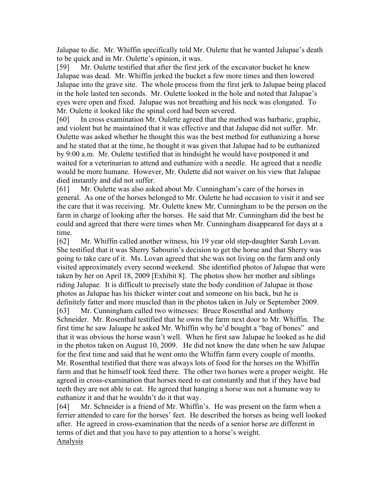Jalupae to die. Mr. Whiffin specifically told Mr. Oulette that he wanted Jalupae's death to be quick and in Mr. Oulette's opinion, it was.

[59] Mr. Oulette testified that after the first jerk of the excavator bucket he knew Jalupae was dead. Mr. Whiffin jerked the bucket a few more times and then lowered Jalupae into the grave site. The whole process from the first jerk to Jalupae being placed in the hole lasted ten seconds. Mr. Oulette looked in the hole and noted that Jalupae's eyes were open and fixed. Jalupae was not breathing and his neck was elongated. To Mr. Oulette it looked like the spinal cord had been severed.

[60] In cross examination Mr. Oulette agreed that the method was barbaric, graphic, and violent but he maintained that it was effective and that Jalupae did not suffer. Mr. Oulette was asked whether he thought this was the best method for euthanizing a horse and he stated that at the time, he thought it was given that Jalupae had to be euthanized by 9:00 a.m. Mr. Oulette testified that in hindsight he would have postponed it and waited for a veterinarian to attend and euthanize with a needle. He agreed that a needle would be more humane. However, Mr. Oulette did not waiver on his view that Jalupae died instantly and did not suffer.

[61] Mr. Oulette was also asked about Mr. Cunningham's care of the horses in general. As one of the horses belonged to Mr. Oulette he had occasion to visit it and see the care that it was receiving. Mr. Oulette knew Mr. Cunningham to be the person on the farm in charge of looking after the horses. He said that Mr. Cunningham did the best he could and agreed that there were times when Mr. Cunningham disappeared for days at a time.

[62] Mr. Whiffin called another witness, his 19 year old step-daughter Sarah Lovan. She testified that it was Sherry Sabourin's decision to get the horse and that Sherry was going to take care of it. Ms. Lovan agreed that she was not living on the farm and only visited approximately every second weekend. She identified photos of Jalupae that were taken by her on April 18, 2009 [Exhibit 8]. The photos show her mother and siblings riding Jalupae. It is difficult to precisely state the body condition of Jalupae in those photos as Jalupae has his thicker winter coat and someone on his back, but he is definitely fatter and more muscled than in the photos taken in July or September 2009. [63] Mr. Cunningham called two witnesses: Bruce Rosenthal and Anthony Schneider. Mr. Rosenthal testified that he owns the farm next door to Mr. Whiffin. The first time he saw Jaluape he asked Mr. Whiffin why he'd bought a "bag of bones" and that it was obvious the horse wasn't well. When he first saw Jalupae he looked as he did in the photos taken on August 10, 2009. He did not know the date when he saw Jalupae for the first time and said that he went onto the Whiffin farm every couple of months. Mr. Rosenthal testified that there was always lots of food for the horses on the Whiffin farm and that he himself took feed there. The other two horses were a proper weight. He agreed in cross-examination that horses need to eat constantly and that if they have bad teeth they are not able to eat. He agreed that hanging a horse was not a humane way to euthanize it and that he wouldn't do it that way.

[64] Mr. Schneider is a friend of Mr. Whiffin's. He was present on the farm when a ferrier attended to care for the horses' feet. He described the horses as being well looked after. He agreed in cross-examination that the needs of a senior horse are different in terms of diet and that you have to pay attention to a horse's weight. Analysis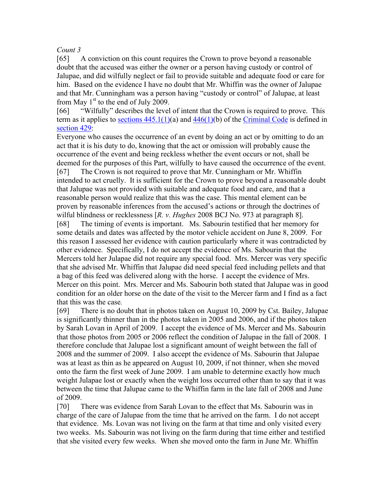## *Count 3*

[65] A conviction on this count requires the Crown to prove beyond a reasonable doubt that the accused was either the owner or a person having custody or control of Jalupae, and did wilfully neglect or fail to provide suitable and adequate food or care for him. Based on the evidence I have no doubt that Mr. Whiffin was the owner of Jalupae and that Mr. Cunningham was a person having "custody or control" of Jalupae, at least from May  $1<sup>st</sup>$  to the end of July 2009.

[66] "Wilfully" describes the level of intent that the Crown is required to prove. This term as it applies to <u>sections  $445.1(1)(a)$ </u> and  $446(1)(b)$  of the Criminal Code is defined in section 429:

Everyone who causes the occurrence of an event by doing an act or by omitting to do an act that it is his duty to do, knowing that the act or omission will probably cause the occurrence of the event and being reckless whether the event occurs or not, shall be deemed for the purposes of this Part, wilfully to have caused the occurrence of the event. [67] The Crown is not required to prove that Mr. Cunningham or Mr. Whiffin intended to act cruelly. It is sufficient for the Crown to prove beyond a reasonable doubt that Jalupae was not provided with suitable and adequate food and care, and that a reasonable person would realize that this was the case. This mental element can be proven by reasonable inferences from the accused's actions or through the doctrines of wilful blindness or recklessness [*R. v. Hughes* 2008 BCJ No. 973 at paragraph 8].

[68] The timing of events is important. Ms. Sabourin testified that her memory for some details and dates was affected by the motor vehicle accident on June 8, 2009. For this reason I assessed her evidence with caution particularly where it was contradicted by other evidence. Specifically, I do not accept the evidence of Ms. Sabourin that the Mercers told her Julapae did not require any special food. Mrs. Mercer was very specific that she advised Mr. Whiffin that Jalupae did need special feed including pellets and that a bag of this feed was delivered along with the horse. I accept the evidence of Mrs. Mercer on this point. Mrs. Mercer and Ms. Sabourin both stated that Jalupae was in good condition for an older horse on the date of the visit to the Mercer farm and I find as a fact that this was the case*.*

[69] There is no doubt that in photos taken on August 10, 2009 by Cst. Bailey, Jalupae is significantly thinner than in the photos taken in 2005 and 2006, and if the photos taken by Sarah Lovan in April of 2009. I accept the evidence of Ms. Mercer and Ms. Sabourin that those photos from 2005 or 2006 reflect the condition of Jalupae in the fall of 2008. I therefore conclude that Jalupae lost a significant amount of weight between the fall of 2008 and the summer of 2009. I also accept the evidence of Ms. Sabourin that Jalupae was at least as thin as he appeared on August 10, 2009, if not thinner, when she moved onto the farm the first week of June 2009. I am unable to determine exactly how much weight Julapae lost or exactly when the weight loss occurred other than to say that it was between the time that Jalupae came to the Whiffin farm in the late fall of 2008 and June of 2009.

[70] There was evidence from Sarah Lovan to the effect that Ms. Sabourin was in charge of the care of Jalupae from the time that he arrived on the farm. I do not accept that evidence. Ms. Lovan was not living on the farm at that time and only visited every two weeks. Ms. Sabourin was not living on the farm during that time either and testified that she visited every few weeks. When she moved onto the farm in June Mr. Whiffin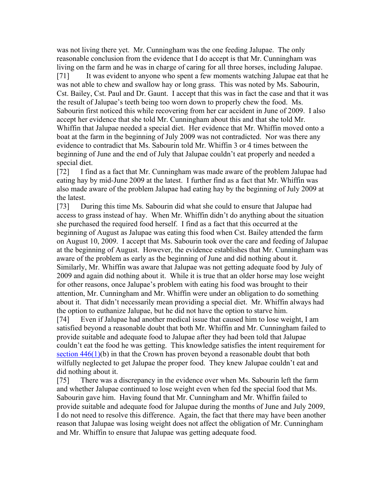was not living there yet. Mr. Cunningham was the one feeding Jalupae. The only reasonable conclusion from the evidence that I do accept is that Mr. Cunningham was living on the farm and he was in charge of caring for all three horses, including Jalupae. [71] It was evident to anyone who spent a few moments watching Jalupae eat that he was not able to chew and swallow hay or long grass. This was noted by Ms. Sabourin, Cst. Bailey, Cst. Paul and Dr. Gaunt. I accept that this was in fact the case and that it was the result of Jalupae's teeth being too worn down to properly chew the food. Ms. Sabourin first noticed this while recovering from her car accident in June of 2009. I also accept her evidence that she told Mr. Cunningham about this and that she told Mr. Whiffin that Jalupae needed a special diet. Her evidence that Mr. Whiffin moved onto a boat at the farm in the beginning of July 2009 was not contradicted. Nor was there any evidence to contradict that Ms. Sabourin told Mr. Whiffin 3 or 4 times between the beginning of June and the end of July that Jalupae couldn't eat properly and needed a special diet.

[72] I find as a fact that Mr. Cunningham was made aware of the problem Jalupae had eating hay by mid-June 2009 at the latest. I further find as a fact that Mr. Whiffin was also made aware of the problem Jalupae had eating hay by the beginning of July 2009 at the latest.

[73] During this time Ms. Sabourin did what she could to ensure that Jalupae had access to grass instead of hay. When Mr. Whiffin didn't do anything about the situation she purchased the required food herself. I find as a fact that this occurred at the beginning of August as Jalupae was eating this food when Cst. Bailey attended the farm on August 10, 2009. I accept that Ms. Sabourin took over the care and feeding of Jalupae at the beginning of August. However, the evidence establishes that Mr. Cunningham was aware of the problem as early as the beginning of June and did nothing about it. Similarly, Mr. Whiffin was aware that Jalupae was not getting adequate food by July of 2009 and again did nothing about it. While it is true that an older horse may lose weight for other reasons, once Jalupae's problem with eating his food was brought to their attention, Mr. Cunningham and Mr. Whiffin were under an obligation to do something about it. That didn't necessarily mean providing a special diet. Mr. Whiffin always had the option to euthanize Jalupae, but he did not have the option to starve him.

[74] Even if Jalupae had another medical issue that caused him to lose weight, I am satisfied beyond a reasonable doubt that both Mr. Whiffin and Mr. Cunningham failed to provide suitable and adequate food to Jalupae after they had been told that Jalupae couldn't eat the food he was getting. This knowledge satisfies the intent requirement for section  $446(1)(b)$  in that the Crown has proven beyond a reasonable doubt that both wilfully neglected to get Jalupae the proper food. They knew Jalupae couldn't eat and did nothing about it.

[75] There was a discrepancy in the evidence over when Ms. Sabourin left the farm and whether Jalupae continued to lose weight even when fed the special food that Ms. Sabourin gave him. Having found that Mr. Cunningham and Mr. Whiffin failed to provide suitable and adequate food for Jalupae during the months of June and July 2009, I do not need to resolve this difference. Again, the fact that there may have been another reason that Jalupae was losing weight does not affect the obligation of Mr. Cunningham and Mr. Whiffin to ensure that Jalupae was getting adequate food.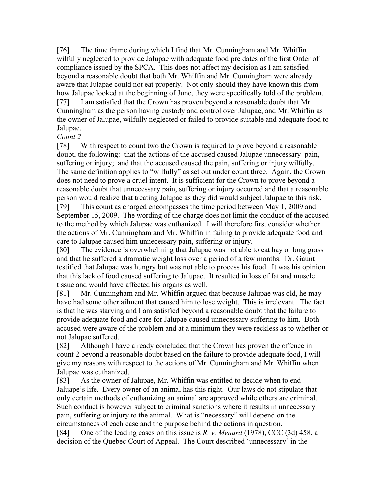[76] The time frame during which I find that Mr. Cunningham and Mr. Whiffin wilfully neglected to provide Jalupae with adequate food pre dates of the first Order of compliance issued by the SPCA. This does not affect my decision as I am satisfied beyond a reasonable doubt that both Mr. Whiffin and Mr. Cunningham were already aware that Julapae could not eat properly. Not only should they have known this from how Jalupae looked at the beginning of June, they were specifically told of the problem. [77] I am satisfied that the Crown has proven beyond a reasonable doubt that Mr. Cunningham as the person having custody and control over Jalupae, and Mr. Whiffin as the owner of Jalupae, wilfully neglected or failed to provide suitable and adequate food to Jalupae.

### *Count 2*

[78] With respect to count two the Crown is required to prove beyond a reasonable doubt, the following: that the actions of the accused caused Jalupae unnecessary pain, suffering or injury; and that the accused caused the pain, suffering or injury wilfully. The same definition applies to "wilfully" as set out under count three. Again, the Crown does not need to prove a cruel intent. It is sufficient for the Crown to prove beyond a reasonable doubt that unnecessary pain, suffering or injury occurred and that a reasonable person would realize that treating Jalupae as they did would subject Jalupae to this risk. [79] This count as charged encompasses the time period between May 1, 2009 and September 15, 2009. The wording of the charge does not limit the conduct of the accused to the method by which Jalupae was euthanized. I will therefore first consider whether the actions of Mr. Cunningham and Mr. Whiffin in failing to provide adequate food and care to Jalupae caused him unnecessary pain, suffering or injury.

[80] The evidence is overwhelming that Jalupae was not able to eat hay or long grass and that he suffered a dramatic weight loss over a period of a few months. Dr. Gaunt testified that Jalupae was hungry but was not able to process his food. It was his opinion that this lack of food caused suffering to Jalupae. It resulted in loss of fat and muscle tissue and would have affected his organs as well.

[81] Mr. Cunningham and Mr. Whiffin argued that because Jalupae was old, he may have had some other ailment that caused him to lose weight. This is irrelevant. The fact is that he was starving and I am satisfied beyond a reasonable doubt that the failure to provide adequate food and care for Jalupae caused unnecessary suffering to him. Both accused were aware of the problem and at a minimum they were reckless as to whether or not Jalupae suffered.

[82] Although I have already concluded that the Crown has proven the offence in count 2 beyond a reasonable doubt based on the failure to provide adequate food, I will give my reasons with respect to the actions of Mr. Cunningham and Mr. Whiffin when Jalupae was euthanized.

[83] As the owner of Jalupae, Mr. Whiffin was entitled to decide when to end Jaluape's life. Every owner of an animal has this right. Our laws do not stipulate that only certain methods of euthanizing an animal are approved while others are criminal. Such conduct is however subject to criminal sanctions where it results in unnecessary pain, suffering or injury to the animal. What is "necessary" will depend on the circumstances of each case and the purpose behind the actions in question.

[84] One of the leading cases on this issue is *R. v. Menard* (1978), CCC (3d) 458, a decision of the Quebec Court of Appeal. The Court described 'unnecessary' in the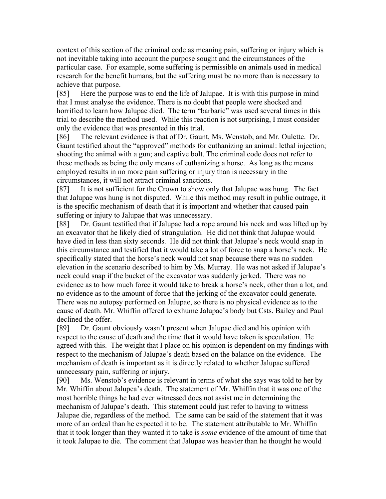context of this section of the criminal code as meaning pain, suffering or injury which is not inevitable taking into account the purpose sought and the circumstances of the particular case. For example, some suffering is permissible on animals used in medical research for the benefit humans, but the suffering must be no more than is necessary to achieve that purpose.

[85] Here the purpose was to end the life of Jalupae. It is with this purpose in mind that I must analyse the evidence. There is no doubt that people were shocked and horrified to learn how Jalupae died. The term "barbaric" was used several times in this trial to describe the method used. While this reaction is not surprising, I must consider only the evidence that was presented in this trial.

[86] The relevant evidence is that of Dr. Gaunt, Ms. Wenstob, and Mr. Oulette. Dr. Gaunt testified about the "approved" methods for euthanizing an animal: lethal injection; shooting the animal with a gun; and captive bolt. The criminal code does not refer to these methods as being the only means of euthanizing a horse. As long as the means employed results in no more pain suffering or injury than is necessary in the circumstances, it will not attract criminal sanctions.

[87] It is not sufficient for the Crown to show only that Jalupae was hung. The fact that Jalupae was hung is not disputed. While this method may result in public outrage, it is the specific mechanism of death that it is important and whether that caused pain suffering or injury to Jalupae that was unnecessary.

[88] Dr. Gaunt testified that if Jalupae had a rope around his neck and was lifted up by an excavator that he likely died of strangulation. He did not think that Jalupae would have died in less than sixty seconds. He did not think that Jalupae's neck would snap in this circumstance and testified that it would take a lot of force to snap a horse's neck. He specifically stated that the horse's neck would not snap because there was no sudden elevation in the scenario described to him by Ms. Murray. He was not asked if Jalupae's neck could snap if the bucket of the excavator was suddenly jerked. There was no evidence as to how much force it would take to break a horse's neck, other than a lot, and no evidence as to the amount of force that the jerking of the excavator could generate. There was no autopsy performed on Jalupae, so there is no physical evidence as to the cause of death. Mr. Whiffin offered to exhume Jalupae's body but Csts. Bailey and Paul declined the offer.

[89] Dr. Gaunt obviously wasn't present when Jalupae died and his opinion with respect to the cause of death and the time that it would have taken is speculation. He agreed with this. The weight that I place on his opinion is dependent on my findings with respect to the mechanism of Jalupae's death based on the balance on the evidence. The mechanism of death is important as it is directly related to whether Jalupae suffered unnecessary pain, suffering or injury.

[90] Ms. Wenstob's evidence is relevant in terms of what she says was told to her by Mr. Whiffin about Jalupea's death. The statement of Mr. Whiffin that it was one of the most horrible things he had ever witnessed does not assist me in determining the mechanism of Jalupae's death. This statement could just refer to having to witness Jalupae die, regardless of the method. The same can be said of the statement that it was more of an ordeal than he expected it to be. The statement attributable to Mr. Whiffin that it took longer than they wanted it to take is *some* evidence of the amount of time that it took Jalupae to die. The comment that Jalupae was heavier than he thought he would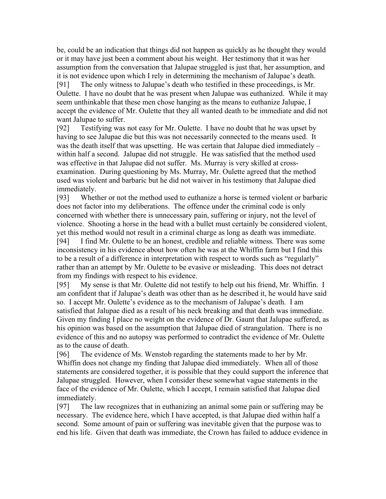be, could be an indication that things did not happen as quickly as he thought they would or it may have just been a comment about his weight. Her testimony that it was her assumption from the conversation that Jalupae struggled is just that, her assumption, and it is not evidence upon which I rely in determining the mechanism of Jalupae's death. [91] The only witness to Jalupae's death who testified in these proceedings, is Mr. Oulette. I have no doubt that he was present when Jalupae was euthanized. While it may seem unthinkable that these men chose hanging as the means to euthanize Jalupae, I accept the evidence of Mr. Oulette that they all wanted death to be immediate and did not want Jalupae to suffer.

[92] Testifying was not easy for Mr. Oulette. I have no doubt that he was upset by having to see Jalupae die but this was not necessarily connected to the means used. It was the death itself that was upsetting. He was certain that Jalupae died immediately – within half a second. Jalupae did not struggle. He was satisfied that the method used was effective in that Jalupae did not suffer. Ms. Murray is very skilled at crossexamination. During questioning by Ms. Murray, Mr. Oulette agreed that the method used was violent and barbaric but he did not waiver in his testimony that Jalupae died immediately.

[93] Whether or not the method used to euthanize a horse is termed violent or barbaric does not factor into my deliberations. The offence under the criminal code is only concerned with whether there is unnecessary pain, suffering or injury, not the level of violence. Shooting a horse in the head with a bullet must certainly be considered violent, yet this method would not result in a criminal charge as long as death was immediate.

[94] I find Mr. Oulette to be an honest, credible and reliable witness. There was some inconsistency in his evidence about how often he was at the Whiffin farm but I find this to be a result of a difference in interpretation with respect to words such as "regularly" rather than an attempt by Mr. Oulette to be evasive or misleading. This does not detract from my findings with respect to his evidence.

[95] My sense is that Mr. Oulette did not testify to help out his friend, Mr. Whiffin. I am confident that if Jalupae's death was other than as he described it, he would have said so. I accept Mr. Oulette's evidence as to the mechanism of Jalupae's death. I am satisfied that Jalupae died as a result of his neck breaking and that death was immediate. Given my finding I place no weight on the evidence of Dr. Gaunt that Jalupae suffered, as his opinion was based on the assumption that Jalupae died of strangulation. There is no evidence of this and no autopsy was performed to contradict the evidence of Mr. Oulette as to the cause of death.

[96] The evidence of Ms. Wenstob regarding the statements made to her by Mr. Whiffin does not change my finding that Jalupae died immediately. When all of those statements are considered together, it is possible that they could support the inference that Jalupae struggled. However, when I consider these somewhat vague statements in the face of the evidence of Mr. Oulette, which I accept, I remain satisfied that Jalupae died immediately.

[97] The law recognizes that in euthanizing an animal some pain or suffering may be necessary. The evidence here, which I have accepted, is that Jalupae died within half a second. Some amount of pain or suffering was inevitable given that the purpose was to end his life. Given that death was immediate, the Crown has failed to adduce evidence in